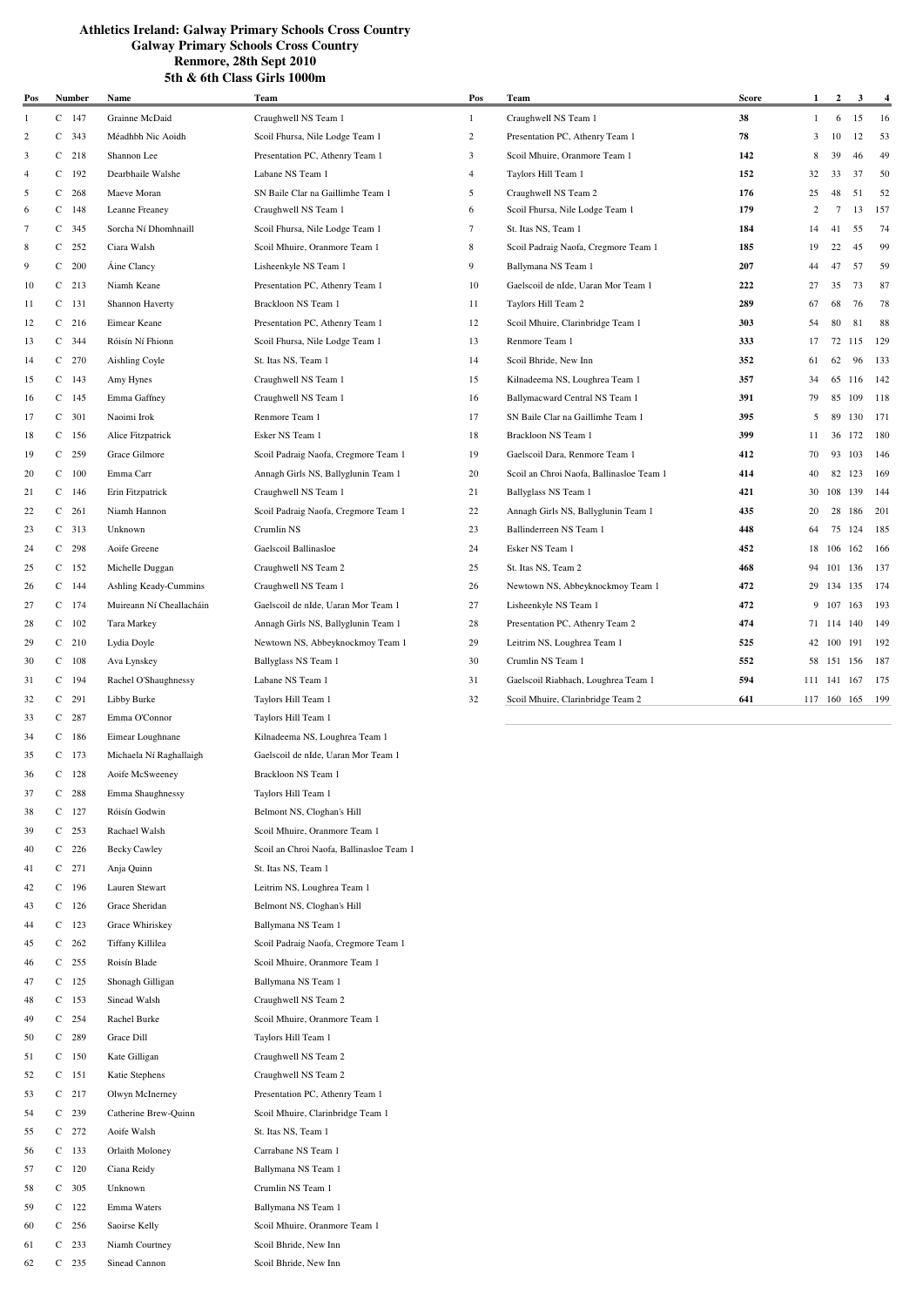59 C 122 Emma Waters Ballymana NS Team 1 60 C 256 Saoirse Kelly Scoil Mhuire, Oranmore Team 1 61 C 233 Niamh Courtney Scoil Bhride, New Inn 62 C 235 Sinead Cannon Scoil Bhride, New Inn

| Pos            |   | <b>Number</b> | Name                     | Team                                     | Pos            | Team                                     | <b>Score</b> | $\mathbf{1}$ | $\overline{\mathbf{c}}$ | 3      | $\frac{4}{1}$ |
|----------------|---|---------------|--------------------------|------------------------------------------|----------------|------------------------------------------|--------------|--------------|-------------------------|--------|---------------|
| 1              |   | $C$ 147       | Grainne McDaid           | Craughwell NS Team 1                     | $\mathbf{1}$   | Craughwell NS Team 1                     | 38           | $\mathbf{1}$ | 6                       | 15     | 16            |
| $\overline{2}$ |   | $C$ 343       | Méadhbh Nic Aoidh        | Scoil Fhursa, Nile Lodge Team 1          | $\overline{c}$ | Presentation PC, Athenry Team 1          | 78           | 3            | 10                      | 12     | 53            |
| 3              |   | $C$ 218       | Shannon Lee              | Presentation PC, Athenry Team 1          | 3              | Scoil Mhuire, Oranmore Team 1            | 142          | 8            | 39                      | 46     | 49            |
| $\overline{4}$ |   | $C$ 192       | Dearbhaile Walshe        | Labane NS Team 1                         | $\overline{4}$ | Taylors Hill Team 1                      | 152          | 32           | 33                      | 37     | 50            |
| 5              |   | $C$ 268       | Maeve Moran              | SN Baile Clar na Gaillimhe Team 1        | 5              | Craughwell NS Team 2                     | 176          | 25           | 48                      | 51     | 52            |
| 6              |   | $C$ 148       | Leanne Freaney           | Craughwell NS Team 1                     | 6              | Scoil Fhursa, Nile Lodge Team 1          | 179          | 2            | $\tau$                  | 13     | 157           |
| 7              |   | $C$ 345       | Sorcha Ní Dhomhnaill     | Scoil Fhursa, Nile Lodge Team 1          | 7              | St. Itas NS, Team 1                      | 184          | 14           | 41                      | 55     | 74            |
| 8              | C | 252           | Ciara Walsh              | Scoil Mhuire, Oranmore Team 1            | 8              | Scoil Padraig Naofa, Cregmore Team 1     | 185          | 19           | 22                      | 45     | 99            |
| 9              |   | $C$ 200       | Áine Clancy              | Lisheenkyle NS Team 1                    | 9              | Ballymana NS Team 1                      | 207          | 44           | 47                      | 57     | 59            |
| 10             | C | 213           | Niamh Keane              | Presentation PC, Athenry Team 1          | 10             | Gaelscoil de nIde, Uaran Mor Team 1      | 222          | 27           | 35                      | 73     | 87            |
|                |   | 131           | Shannon Haverty          | Brackloon NS Team 1                      |                |                                          | 289          |              |                         |        | 78            |
| 11             | C |               |                          |                                          | 11             | Taylors Hill Team 2                      |              | 67           | 68                      | 76     |               |
| 12             |   | $C$ 216       | Eimear Keane             | Presentation PC, Athenry Team 1          | 12             | Scoil Mhuire, Clarinbridge Team 1        | 303          | 54           | 80                      | 81     | 88            |
| 13             |   | $C$ 344       | Róisín Ní Fhionn         | Scoil Fhursa, Nile Lodge Team 1          | 13             | Renmore Team 1                           | 333          | 17           | 72 115                  |        | 129           |
| 14             |   | $C$ 270       | Aishling Coyle           | St. Itas NS, Team 1                      | 14             | Scoil Bhride, New Inn                    | 352          | 61           | 62                      | 96     | 133           |
| 15             |   | $C$ 143       | Amy Hynes                | Craughwell NS Team 1                     | 15             | Kilnadeema NS, Loughrea Team 1           | 357          | 34           |                         | 65 116 | 142           |
| 16             |   | $C$ 145       | Emma Gaffney             | Craughwell NS Team 1                     | 16             | Ballymacward Central NS Team 1           | 391          | 79           |                         | 85 109 | 118           |
| 17             |   | $C$ 301       | Naoimi Irok              | Renmore Team 1                           | 17             | SN Baile Clar na Gaillimhe Team 1        | 395          | 5            | 89 130                  |        | 171           |
| 18             |   | $C$ 156       | Alice Fitzpatrick        | Esker NS Team 1                          | 18             | Brackloon NS Team 1                      | 399          | 11           |                         | 36 172 | 180           |
| 19             |   | $C$ 259       | Grace Gilmore            | Scoil Padraig Naofa, Cregmore Team 1     | 19             | Gaelscoil Dara, Renmore Team 1           | 412          | 70           |                         | 93 103 | 146           |
| 20             |   | $C$ 100       | Emma Carr                | Annagh Girls NS, Ballyglunin Team 1      | 20             | Scoil an Chroi Naofa, Ballinasloe Team 1 | 414          | 40           |                         | 82 123 | 169           |
| 21             |   | $C$ 146       | Erin Fitzpatrick         | Craughwell NS Team 1                     | 21             | Ballyglass NS Team 1                     | 421          |              | 30 108 139              |        | 144           |
| 22             |   | $C$ 261       | Niamh Hannon             | Scoil Padraig Naofa, Cregmore Team 1     | 22             | Annagh Girls NS, Ballyglunin Team 1      | 435          | 20           |                         | 28 186 | 201           |
| 23             |   | $C$ 313       | Unknown                  | Crumlin NS                               | 23             | Ballinderreen NS Team 1                  | 448          | 64           |                         | 75 124 | 185           |
| 24             |   | $C$ 298       | Aoife Greene             | Gaelscoil Ballinasloe                    | 24             | Esker NS Team 1                          | 452          |              | 18 106 162              |        | 166           |
| 25             |   | $C$ 152       | Michelle Duggan          | Craughwell NS Team 2                     | 25             | St. Itas NS, Team 2                      | 468          | 94           | 101 136                 |        | 137           |
| 26             |   | $C$ 144       | Ashling Keady-Cummins    | Craughwell NS Team 1                     | 26             | Newtown NS, Abbeyknockmoy Team 1         | 472          | 29           | 134 135                 |        | 174           |
| 27             |   | $C$ 174       | Muireann Ní Cheallacháin | Gaelscoil de nIde, Uaran Mor Team 1      | 27             | Lisheenkyle NS Team 1                    | 472          |              | 9 107                   | 163    | 193           |
| 28             |   | $C$ 102       | Tara Markey              | Annagh Girls NS, Ballyglunin Team 1      | 28             | Presentation PC, Athenry Team 2          | 474          |              | 71 114 140              |        | 149           |
| 29             |   | $C$ 210       | Lydia Doyle              | Newtown NS, Abbeyknockmoy Team 1         | 29             | Leitrim NS, Loughrea Team 1              | 525          |              | 42 100 191              |        | 192           |
| 30             |   | $C$ 108       | Ava Lynskey              | Ballyglass NS Team 1                     | 30             | Crumlin NS Team 1                        | 552          |              | 58 151 156              |        | 187           |
| 31             |   | $C$ 194       | Rachel O'Shaughnessy     | Labane NS Team 1                         | 31             | Gaelscoil Riabhach, Loughrea Team 1      | 594          | 111 141 167  |                         |        | 175           |
| 32             | C | 291           | Libby Burke              | Taylors Hill Team 1                      | 32             | Scoil Mhuire, Clarinbridge Team 2        | 641          | 117 160 165  |                         |        | 199           |
| 33             | C | 287           | Emma O'Connor            | Taylors Hill Team 1                      |                |                                          |              |              |                         |        |               |
| 34             | C | 186           |                          | Kilnadeema NS, Loughrea Team 1           |                |                                          |              |              |                         |        |               |
|                |   |               | Eimear Loughnane         |                                          |                |                                          |              |              |                         |        |               |
| 35             | C | 173           | Michaela Ní Raghallaigh  | Gaelscoil de nIde, Uaran Mor Team 1      |                |                                          |              |              |                         |        |               |
| 36             | C | 128           | Aoife McSweeney          | Brackloon NS Team 1                      |                |                                          |              |              |                         |        |               |
| 37             | C | 288           | Emma Shaughnessy         | Taylors Hill Team 1                      |                |                                          |              |              |                         |        |               |
| 38             | C | 127           | Róisín Godwin            | Belmont NS, Cloghan's Hill               |                |                                          |              |              |                         |        |               |
| 39             | C | 253           | Rachael Walsh            | Scoil Mhuire, Oranmore Team 1            |                |                                          |              |              |                         |        |               |
| 40             | C | 226           | <b>Becky Cawley</b>      | Scoil an Chroi Naofa, Ballinasloe Team 1 |                |                                          |              |              |                         |        |               |
| 41             | C | 271           | Anja Quinn               | St. Itas NS, Team 1                      |                |                                          |              |              |                         |        |               |
| 42             | C | 196           | Lauren Stewart           | Leitrim NS, Loughrea Team 1              |                |                                          |              |              |                         |        |               |
| 43             | C | 126           | Grace Sheridan           | Belmont NS, Cloghan's Hill               |                |                                          |              |              |                         |        |               |
| 44             |   | $C$ 123       | Grace Whiriskey          | Ballymana NS Team 1                      |                |                                          |              |              |                         |        |               |
| 45             | C | 262           | Tiffany Killilea         | Scoil Padraig Naofa, Cregmore Team 1     |                |                                          |              |              |                         |        |               |
| 46             | C | 255           | Roisín Blade             | Scoil Mhuire, Oranmore Team 1            |                |                                          |              |              |                         |        |               |
| 47             | C | 125           | Shonagh Gilligan         | Ballymana NS Team 1                      |                |                                          |              |              |                         |        |               |
| 48             | C | 153           | Sinead Walsh             | Craughwell NS Team 2                     |                |                                          |              |              |                         |        |               |
| 49             | C | 254           | Rachel Burke             | Scoil Mhuire, Oranmore Team 1            |                |                                          |              |              |                         |        |               |
| 50             | C | 289           | Grace Dill               | Taylors Hill Team 1                      |                |                                          |              |              |                         |        |               |
| 51             |   | $C$ 150       | Kate Gilligan            | Craughwell NS Team 2                     |                |                                          |              |              |                         |        |               |
| 52             |   | $C$ 151       | Katie Stephens           | Craughwell NS Team 2                     |                |                                          |              |              |                         |        |               |
| 53             |   | $C$ 217       | Olwyn McInerney          | Presentation PC, Athenry Team 1          |                |                                          |              |              |                         |        |               |
| 54             |   | $C$ 239       | Catherine Brew-Quinn     | Scoil Mhuire, Clarinbridge Team 1        |                |                                          |              |              |                         |        |               |
| 55             |   | $C$ 272       | Aoife Walsh              | St. Itas NS, Team 1                      |                |                                          |              |              |                         |        |               |
| 56             |   | $C$ 133       | Orlaith Moloney          | Carrabane NS Team 1                      |                |                                          |              |              |                         |        |               |
| 57             | C | 120           | Ciana Reidy              | Ballymana NS Team 1                      |                |                                          |              |              |                         |        |               |
| 58             |   | $C$ 305       | Unknown                  | Crumlin NS Team 1                        |                |                                          |              |              |                         |        |               |
|                |   |               |                          |                                          |                |                                          |              |              |                         |        |               |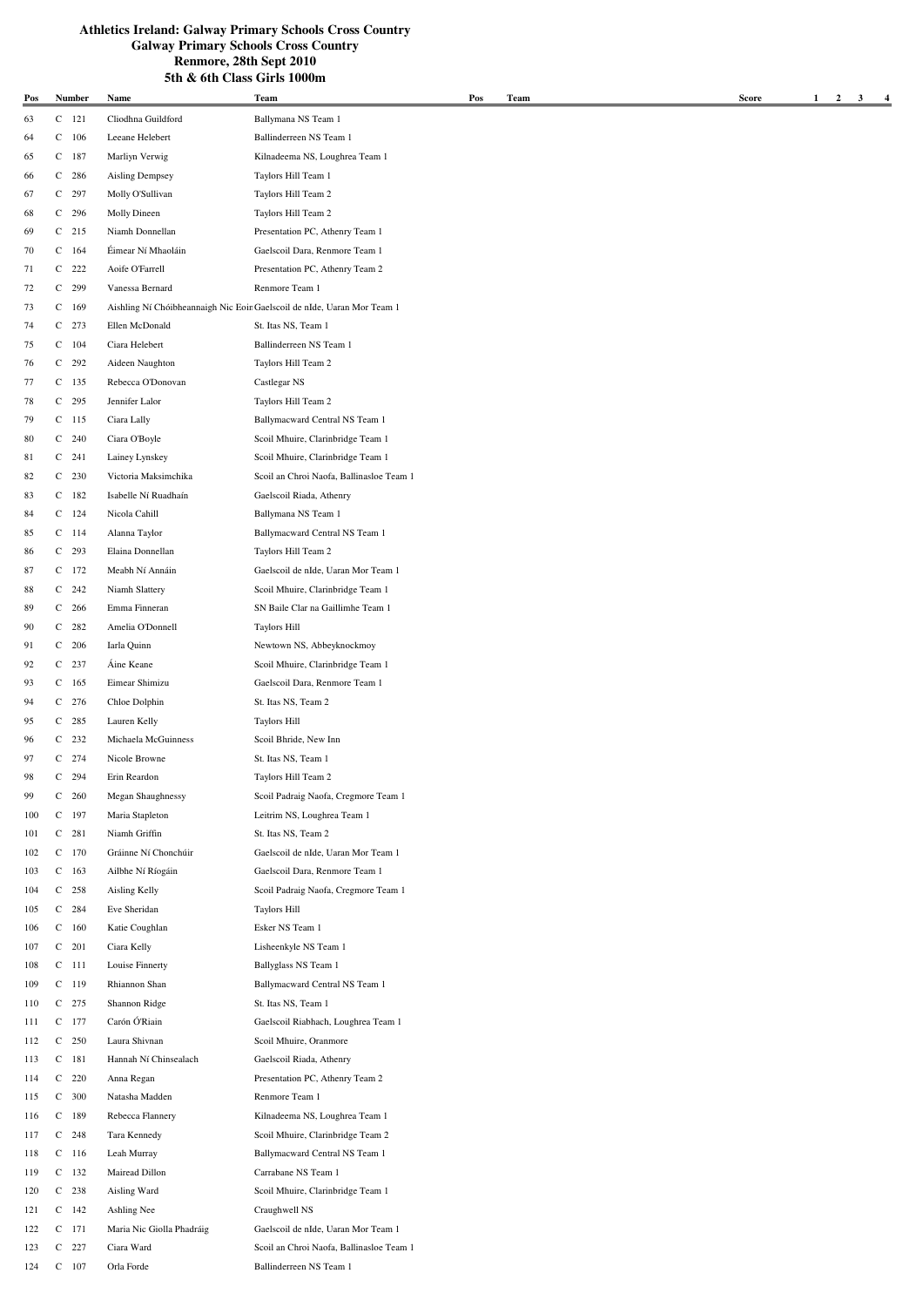| Pos        |              | <b>Number</b>      | Name                              | Team                                                                     | Pos | Team | Score | $\mathbf{1}$<br>$\overline{a}$ | 3 | $\overline{4}$ |
|------------|--------------|--------------------|-----------------------------------|--------------------------------------------------------------------------|-----|------|-------|--------------------------------|---|----------------|
| 63         |              | $C$ 121            | Cliodhna Guildford                | Ballymana NS Team 1                                                      |     |      |       |                                |   |                |
| 64         |              | $C$ 106            | Leeane Helebert                   | Ballinderreen NS Team 1                                                  |     |      |       |                                |   |                |
| 65         |              | $C$ 187            | Marliyn Verwig                    | Kilnadeema NS, Loughrea Team 1                                           |     |      |       |                                |   |                |
| 66         |              | $C$ 286            | Aisling Dempsey                   | Taylors Hill Team 1                                                      |     |      |       |                                |   |                |
| 67         |              | $C$ 297            | Molly O'Sullivan                  | Taylors Hill Team 2                                                      |     |      |       |                                |   |                |
| 68         |              | $C$ 296            | Molly Dineen                      | Taylors Hill Team 2                                                      |     |      |       |                                |   |                |
| 69         |              | $C$ 215            | Niamh Donnellan                   | Presentation PC, Athenry Team 1                                          |     |      |       |                                |   |                |
| 70         |              | $C$ 164            | Éimear Ní Mhaoláin                | Gaelscoil Dara, Renmore Team 1                                           |     |      |       |                                |   |                |
| 71         |              | $C$ 222            | Aoife O'Farrell                   | Presentation PC, Athenry Team 2                                          |     |      |       |                                |   |                |
| 72         |              | $C$ 299            | Vanessa Bernard                   | Renmore Team 1                                                           |     |      |       |                                |   |                |
| 73         |              | $C$ 169            |                                   | Aishling Ní Chóibheannaigh Nic Eoin Gaelscoil de nIde, Uaran Mor Team 1  |     |      |       |                                |   |                |
| 74         |              | $C$ 273            | Ellen McDonald                    | St. Itas NS, Team 1                                                      |     |      |       |                                |   |                |
| 75         |              | $C$ 104            | Ciara Helebert                    | Ballinderreen NS Team 1                                                  |     |      |       |                                |   |                |
| 76         |              | $C$ 292            | Aideen Naughton                   | Taylors Hill Team 2                                                      |     |      |       |                                |   |                |
| 77         |              | $C$ 135            | Rebecca O'Donovan                 | Castlegar NS                                                             |     |      |       |                                |   |                |
| 78         |              | $C$ 295            | Jennifer Lalor                    | Taylors Hill Team 2                                                      |     |      |       |                                |   |                |
| 79         |              | $C$ 115            | Ciara Lally                       | Ballymacward Central NS Team 1                                           |     |      |       |                                |   |                |
| 80         |              | $C$ 240            | Ciara O'Boyle                     | Scoil Mhuire, Clarinbridge Team 1                                        |     |      |       |                                |   |                |
| 81         |              | $C$ 241            | Lainey Lynskey                    | Scoil Mhuire, Clarinbridge Team 1                                        |     |      |       |                                |   |                |
| 82         |              | $C$ 230            | Victoria Maksimchika              | Scoil an Chroi Naofa, Ballinasloe Team 1                                 |     |      |       |                                |   |                |
| 83         |              | $C$ 182            | Isabelle Ní Ruadhaín              | Gaelscoil Riada, Athenry                                                 |     |      |       |                                |   |                |
| 84         |              | $C$ 124            | Nicola Cahill                     | Ballymana NS Team 1                                                      |     |      |       |                                |   |                |
| 85         |              | $C$ 114            | Alanna Taylor                     | Ballymacward Central NS Team 1                                           |     |      |       |                                |   |                |
| 86         |              | $C$ 293<br>$C$ 172 | Elaina Donnellan                  | Taylors Hill Team 2                                                      |     |      |       |                                |   |                |
| 87<br>88   |              | $C$ 242            | Meabh Ní Annáin<br>Niamh Slattery | Gaelscoil de nIde, Uaran Mor Team 1<br>Scoil Mhuire, Clarinbridge Team 1 |     |      |       |                                |   |                |
| 89         |              | $C$ 266            | Emma Finneran                     | SN Baile Clar na Gaillimhe Team 1                                        |     |      |       |                                |   |                |
| 90         |              | $C$ 282            | Amelia O'Donnell                  | <b>Taylors Hill</b>                                                      |     |      |       |                                |   |                |
| 91         |              | $C$ 206            | Iarla Quinn                       | Newtown NS, Abbeyknockmoy                                                |     |      |       |                                |   |                |
| 92         |              | $C$ 237            | Áine Keane                        | Scoil Mhuire, Clarinbridge Team 1                                        |     |      |       |                                |   |                |
| 93         |              | $C$ 165            | Eimear Shimizu                    | Gaelscoil Dara, Renmore Team 1                                           |     |      |       |                                |   |                |
| 94         |              | $C$ 276            | Chloe Dolphin                     | St. Itas NS, Team 2                                                      |     |      |       |                                |   |                |
| 95         |              | $C$ 285            | Lauren Kelly                      | <b>Taylors Hill</b>                                                      |     |      |       |                                |   |                |
| 96         |              | $C$ 232            | Michaela McGuinness               | Scoil Bhride, New Inn                                                    |     |      |       |                                |   |                |
| 97         |              | $C$ 274            | Nicole Browne                     | St. Itas NS, Team 1                                                      |     |      |       |                                |   |                |
| 98         | С            | 294                | Erin Reardon                      | Taylors Hill Team 2                                                      |     |      |       |                                |   |                |
| 99         |              | $C$ 260            | Megan Shaughnessy                 | Scoil Padraig Naofa, Cregmore Team 1                                     |     |      |       |                                |   |                |
| 100        |              | $C$ 197            | Maria Stapleton                   | Leitrim NS, Loughrea Team 1                                              |     |      |       |                                |   |                |
| 101        |              | $C$ 281            | Niamh Griffin                     | St. Itas NS, Team 2                                                      |     |      |       |                                |   |                |
| 102        |              | $C$ 170            | Gráinne Ní Chonchúir              | Gaelscoil de nIde, Uaran Mor Team 1                                      |     |      |       |                                |   |                |
| 103        |              | $C$ 163            | Ailbhe Ní Ríogáin                 | Gaelscoil Dara, Renmore Team 1                                           |     |      |       |                                |   |                |
| 104        |              | $C$ 258            | Aisling Kelly                     | Scoil Padraig Naofa, Cregmore Team 1                                     |     |      |       |                                |   |                |
| 105        |              | $C$ 284            | Eve Sheridan                      | <b>Taylors Hill</b>                                                      |     |      |       |                                |   |                |
| 106        |              | $C$ 160            | Katie Coughlan                    | Esker NS Team 1                                                          |     |      |       |                                |   |                |
| 107        |              | $C$ 201            | Ciara Kelly                       | Lisheenkyle NS Team 1                                                    |     |      |       |                                |   |                |
| 108        |              | $C$ 111            | Louise Finnerty                   | Ballyglass NS Team 1                                                     |     |      |       |                                |   |                |
| 109        |              | $C$ 119            | Rhiannon Shan                     | Ballymacward Central NS Team 1                                           |     |      |       |                                |   |                |
| 110        |              | $C$ 275            | Shannon Ridge                     | St. Itas NS, Team 1                                                      |     |      |       |                                |   |                |
| 111        | C            | 177                | Carón Ó'Riain                     | Gaelscoil Riabhach, Loughrea Team 1                                      |     |      |       |                                |   |                |
| 112        | C            | 250                | Laura Shivnan                     | Scoil Mhuire, Oranmore                                                   |     |      |       |                                |   |                |
| 113        | C            | 181                | Hannah Ní Chinsealach             | Gaelscoil Riada, Athenry                                                 |     |      |       |                                |   |                |
| 114        | C<br>C       | 220<br>300         | Anna Regan<br>Natasha Madden      | Presentation PC, Athenry Team 2<br>Renmore Team 1                        |     |      |       |                                |   |                |
| 115        | C            | 189                | Rebecca Flannery                  | Kilnadeema NS, Loughrea Team 1                                           |     |      |       |                                |   |                |
| 116<br>117 | C            | 248                | Tara Kennedy                      | Scoil Mhuire, Clarinbridge Team 2                                        |     |      |       |                                |   |                |
| 118        |              | $C$ 116            | Leah Murray                       | Ballymacward Central NS Team 1                                           |     |      |       |                                |   |                |
| 119        | C            | 132                | Mairead Dillon                    | Carrabane NS Team 1                                                      |     |      |       |                                |   |                |
| 120        | C            | 238                | Aisling Ward                      | Scoil Mhuire, Clarinbridge Team 1                                        |     |      |       |                                |   |                |
| 121        | C            | 142                | Ashling Nee                       | Craughwell NS                                                            |     |      |       |                                |   |                |
| 122        | C            | 171                | Maria Nic Giolla Phadráig         | Gaelscoil de nIde, Uaran Mor Team 1                                      |     |      |       |                                |   |                |
| 123        | $\mathsf{C}$ | 227                | Ciara Ward                        | Scoil an Chroi Naofa, Ballinasloe Team 1                                 |     |      |       |                                |   |                |
| 124        | C            | 107                | Orla Forde                        | Ballinderreen NS Team 1                                                  |     |      |       |                                |   |                |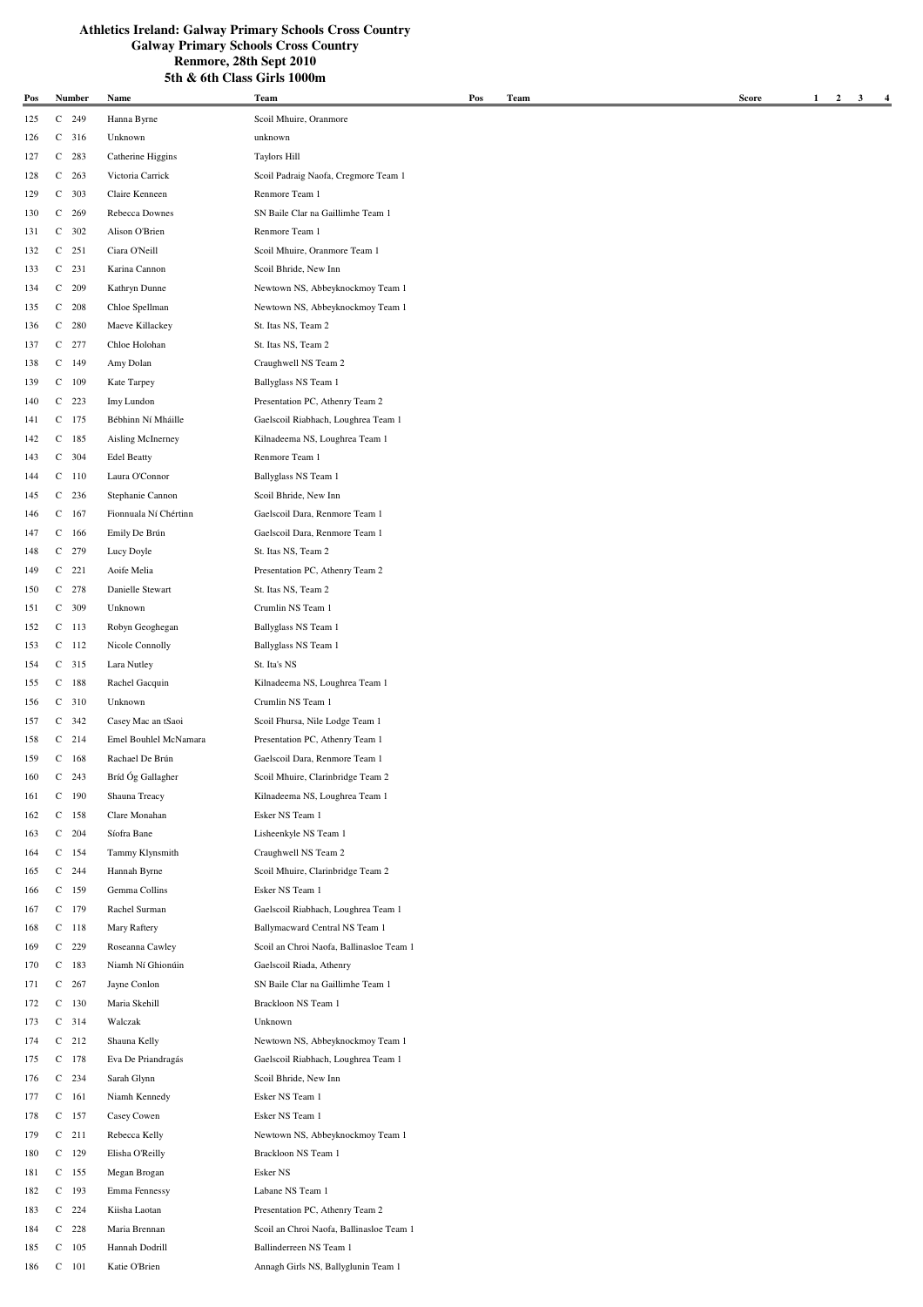185 C 105 Hannah Dodrill Ballinderreen NS Team 1

186 C 101 Katie O'Brien Annagh Girls NS, Ballyglunin Team 1

**Pos Name Team Number Pos Team Score 1 2 3 4** 125 C 249 Hanna Byrne Scoil Mhuire, Oranmore 126 C 316 Unknown unknown 127 C 283 Catherine Higgins Taylors Hill 128 C 263 Victoria Carrick Scoil Padraig Naofa, Cregmore Team 1 129 C 303 Claire Kenneen Renmore Team 1 130 C 269 Rebecca Downes SN Baile Clar na Gaillimhe Team 1 131 C 302 Alison O'Brien Renmore Team 1 132 C 251 Ciara O'Neill Scoil Mhuire, Oranmore Team 1 133 C 231 Karina Cannon Scoil Bhride, New Inn 134 C 209 Kathryn Dunne Newtown NS, Abbeyknockmoy Team 1 135 C 208 Chloe Spellman Newtown NS, Abbeyknockmoy Team 1 136 C 280 Maeve Killackey St. Itas NS, Team 2 137 C 277 Chloe Holohan St. Itas NS, Team 2 138 C 149 Amy Dolan Craughwell NS Team 2 139 C 109 Kate Tarpey Ballyglass NS Team 1 140 C 223 Imy Lundon Presentation PC, Athenry Team 2 141 C 175 Bébhinn Ní Mháille Gaelscoil Riabhach, Loughrea Team 1 142 C 185 Aisling McInerney Kilnadeema NS, Loughrea Team 1 143 C 304 Edel Beatty Renmore Team 1 144 C 110 Laura O'Connor Ballyglass NS Team 1 145 C 236 Stephanie Cannon Scoil Bhride, New Inn 146 C 167 Fionnuala Ní Chértinn Gaelscoil Dara, Renmore Team 1 147 C 166 Emily De Brún Gaelscoil Dara, Renmore Team 1 148 C 279 Lucy Doyle St. Itas NS, Team 2 149 C 221 Aoife Melia Presentation PC, Athenry Team 2 150 C 278 Danielle Stewart St. Itas NS, Team 2 151 C 309 Unknown Crumlin NS Team 1 152 C 113 Robyn Geoghegan Ballyglass NS Team 1 153 C 112 Nicole Connolly Ballyglass NS Team 1 154 C 315 Lara Nutley St. Ita's NS 155 C 188 Rachel Gacquin Kilnadeema NS, Loughrea Team 1 156 C 310 Unknown Crumlin NS Team 1 157 C 342 Casey Mac an tSaoi Scoil Fhursa, Nile Lodge Team 1 158 C 214 Emel Bouhlel McNamara Presentation PC, Athenry Team 1 159 C 168 Rachael De Brún Gaelscoil Dara, Renmore Team 1 160 C 243 Bríd Óg Gallagher Scoil Mhuire, Clarinbridge Team 2 161 C 190 Shauna Treacy Kilnadeema NS, Loughrea Team 1 162 C 158 Clare Monahan Esker NS Team 1 163 C 204 Síofra Bane Lisheenkyle NS Team 1 164 C 154 Tammy Klynsmith Craughwell NS Team 2 165 C 244 Hannah Byrne Scoil Mhuire, Clarinbridge Team 2 166 C 159 Gemma Collins Esker NS Team 1 167 C 179 Rachel Surman Gaelscoil Riabhach, Loughrea Team 1 168 C 118 Mary Raftery Ballymacward Central NS Team 1 169 C 229 Roseanna Cawley Scoil an Chroi Naofa, Ballinasloe Team 1 170 C 183 Niamh Ní Ghionúin Gaelscoil Riada, Athenry 171 C 267 Jayne Conlon SN Baile Clar na Gaillimhe Team 1 172 C 130 Maria Skehill Brackloon NS Team 1 173 C 314 Walczak Unknown 174 C 212 Shauna Kelly Newtown NS, Abbeyknockmoy Team 1 175 C 178 Eva De Priandragás Gaelscoil Riabhach, Loughrea Team 1 176 C 234 Sarah Glynn Scoil Bhride, New Inn 177 C 161 Niamh Kennedy Esker NS Team 1 178 C 157 Casey Cowen Esker NS Team 1 179 C 211 Rebecca Kelly Newtown NS, Abbeyknockmoy Team 1 180 C 129 Elisha O'Reilly Brackloon NS Team 1 181 C 155 Megan Brogan Esker NS 182 C 193 Emma Fennessy Labane NS Team 1 183 C 224 Kiisha Laotan Presentation PC, Athenry Team 2 184 C 228 Maria Brennan Scoil an Chroi Naofa, Ballinasloe Team 1